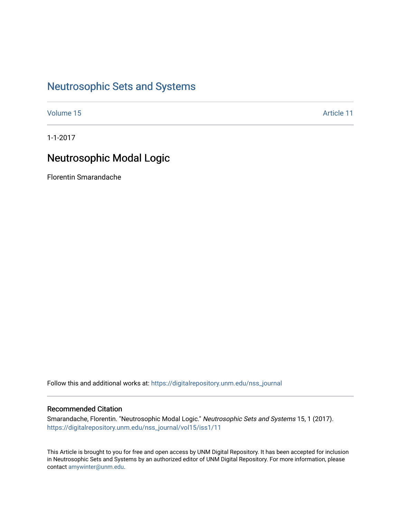## [Neutrosophic Sets and Systems](https://digitalrepository.unm.edu/nss_journal)

[Volume 15](https://digitalrepository.unm.edu/nss_journal/vol15) Article 11

1-1-2017

# Neutrosophic Modal Logic

Florentin Smarandache

Follow this and additional works at: [https://digitalrepository.unm.edu/nss\\_journal](https://digitalrepository.unm.edu/nss_journal?utm_source=digitalrepository.unm.edu%2Fnss_journal%2Fvol15%2Fiss1%2F11&utm_medium=PDF&utm_campaign=PDFCoverPages) 

## Recommended Citation

Smarandache, Florentin. "Neutrosophic Modal Logic." Neutrosophic Sets and Systems 15, 1 (2017). [https://digitalrepository.unm.edu/nss\\_journal/vol15/iss1/11](https://digitalrepository.unm.edu/nss_journal/vol15/iss1/11?utm_source=digitalrepository.unm.edu%2Fnss_journal%2Fvol15%2Fiss1%2F11&utm_medium=PDF&utm_campaign=PDFCoverPages)

This Article is brought to you for free and open access by UNM Digital Repository. It has been accepted for inclusion in Neutrosophic Sets and Systems by an authorized editor of UNM Digital Repository. For more information, please contact [amywinter@unm.edu](mailto:amywinter@unm.edu).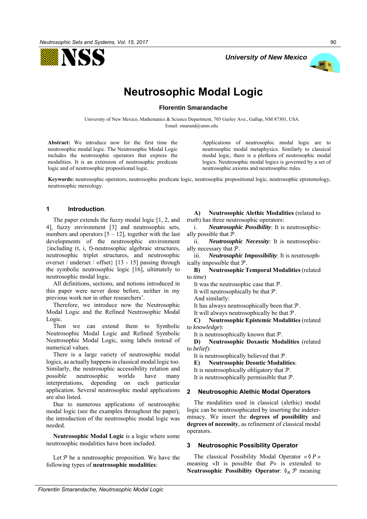



# **Neutrosophic Modal Logic**

**Florentin Smarandache**

University of New Mexico, Mathematics & Science Department, 705 Gurley Ave., Gallup, NM 87301, USA. Email: smarand@unm.edu

**Abstract:** We introduce now for the first time the neutrosophic modal logic. The Neutrosophic Modal Logic includes the neutrosophic operators that express the modalities. It is an extension of neutrosophic predicate logic and of neutrosophic propositional logic.

Applications of neutrosophic modal logic are to neutrosophic modal metaphysics. Similarly to classical modal logic, there is a plethora of neutrosophic modal logics. Neutrosophic modal logics is governed by a set of neutrosophic axioms and neutrosophic rules.

**Keywords:** neutrosophic operators, neutrosophic predicate logic, neutrosophic propositional logic, neutrosophic epistemology, neutrosophic mereology.

## **1 Introduction**.

The paper extends the fuzzy modal logic [1, 2, and 4], fuzzy environment [3] and neutrosophic sets, numbers and operators  $[5 - 12]$ , together with the last developments of the neutrosophic environment {including (t, i, f)-neutrosophic algebraic structures, neutrosophic triplet structures, and neutrosophic overset / underset / offset} [13 - 15] passing through the symbolic neutrosophic logic [16], ultimately to neutrosophic modal logic.

All definitions, sections, and notions introduced in this paper were never done before, neither in my previous work nor in other researchers'.

Therefore, we introduce now the Neutrosophic Modal Logic and the Refined Neutrosophic Modal Logic.

Then we can extend them to Symbolic Neutrosophic Modal Logic and Refined Symbolic Neutrosophic Modal Logic, using labels instead of numerical values.

There is a large variety of neutrosophic modal logics, as actually happens in classical modal logic too. Similarly, the neutrosophic accessibility relation and possible neutrosophic worlds have many interpretations, depending on each particular application. Several neutrosophic modal applications are also listed.

Due to numerous applications of neutrosophic modal logic (see the examples throughout the paper), the introduction of the neutrosophic modal logic was needed.

**Neutrosophic Modal Logic** is a logic where some neutrosophic modalities have been included.

Let  $P$  be a neutrosophic proposition. We have the following types of **neutrosophic modalities**:

**A) Neutrosophic Alethic Modalities** (related to *truth*) has three neutrosophic operators:

i. *Neutrosophic Possibility*: It is neutrosophically possible that  $P$ .

ii. *Neutrosophic Necessity*: It is neutrosophically necessary that  $P$ .

iii. *Neutrosophic Impossibility*: It is neutrosophically impossible that  $P$ .

**B) Neutrosophic Temporal Modalities** (related to *time*)

It was the neutrosophic case that  $P$ .

It will neutrosophically be that  $P$ .

And similarly:

It has always neutrosophically been that  $P$ .

It will always neutrosophically be that  $P$ .

**C) Neutrosophic Epistemic Modalities** (related to *knowledge*):

It is neutrosophically known that  $P$ .

**D) Neutrosophic Doxastic Modalities** (related to *belief*):

It is neutrosophically believed that  $P$ .

**E) Neutrosophic Deontic Modalities**:

It is neutrosophically obligatory that  $P$ .

It is neutrosophically permissible that  $P$ .

## **2 Neutrosophic Alethic Modal Operators**

The modalities used in classical (alethic) modal logic can be neutrosophicated by inserting the indeterminacy. We insert the **degrees of possibility** and **degrees of necessity**, as refinement of classical modal operators.

## **3 Neutrosophic Possibility Operator**

The classical Possibility Modal Operator « $P \triangleright$ meaning «It is possible that *P*» is extended to **Neutrosophic Possibility Operator:**  $\delta_N$   $\mathcal{P}$  meaning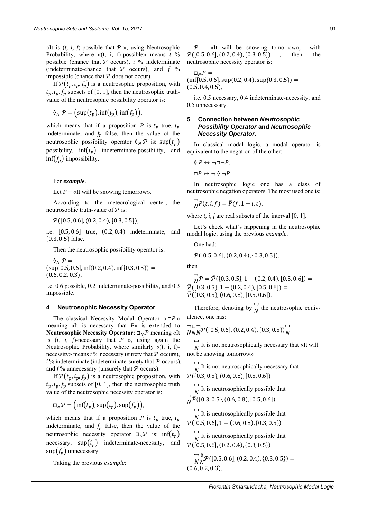«It is  $(t, i, f)$ -possible that  $P \rightarrow$ , using Neutrosophic Probability, where «(t, i, f)-possible» means *t* % possible (chance that  $P$  occurs),  $i \%$  indeterminate (indeterminate-chance that  $P$  occurs), and  $f$  % impossible (chance that  $P$  does not occur).

If  $\mathcal{P}(t_n, i_n, f_n)$  is a neutrosophic proposition, with  $t_n, i_n, f_n$  subsets of [0, 1], then the neutrosophic truthvalue of the neutrosophic possibility operator is:

$$
\mathcal{A}_N \mathcal{P} = \big(\sup(t_p), \inf(t_p), \inf(f_p)\big),
$$

which means that if a proposition *P* is  $t_p$  true,  $i_p$ indeterminate, and  $f_p$  false, then the value of the neutrosophic possibility operator  $\delta_N \mathcal{P}$  is:  $\sup(t_p)$ possibility,  $\inf(i_p)$  indeterminate-possibility, and inf( $f_n$ ) impossibility.

For *example*.

Let  $P = \alpha$ It will be snowing tomorrow».

According to the meteorological center, the neutrosophic truth-value of  $P$  is:

 $\mathcal{P}([0.5, 0.6], (0.2, 0.4), \{0.3, 0.5\}),$ 

i.e. [0.5, 0.6] true, (0.2, 0.4) indeterminate, and {0.3, 0.5} false.

Then the neutrosophic possibility operator is:

 $\mathcal{O}_N \mathcal{P} =$  $(sup[0.5, 0.6], inf(0.2, 0.4), inf\{0.3, 0.5\}) =$  $(0.6, 0.2, 0.3),$ 

i.e. 0.6 possible, 0.2 indeterminate-possibility, and 0.3 impossible.

#### **4 Neutrosophic Necessity Operator**

The classical Necessity Modal Operator « $\Box P$ » meaning «It is necessary that *P*» is extended to **Neutrosophic Necessity Operator:** □<sub>N</sub>P meaning «It is  $(t, i, f)$ -necessary that  $P \rightarrow$ , using again the Neutrosophic Probability, where similarly «(t, i, f) necessity» means  $t$  % necessary (surety that  $\mathcal P$  occurs),  $i\%$  indeterminate (indeterminate-surety that  $\mathcal P$  occurs). and  $f$ % unnecessary (unsurely that  $P$  occurs).

If  $\mathcal{P}(t_p, i_p, f_p)$  is a neutrosophic proposition, with  $t_p, i_p, f_p$  subsets of [0, 1], then the neutrosophic truth value of the neutrosophic necessity operator is:

$$
\Box_N \mathcal{P} = (\inf(t_p), \sup(t_p), \sup(f_p)),
$$

which means that if a proposition  $P$  is  $t_p$  true,  $i_p$ indeterminate, and  $f_p$  false, then the value of the neutrosophic necessity operator  $\square_N \mathcal{P}$  is: inf( $t_p$ ) necessary,  $\sup(i_n)$  indeterminate-necessity, and  $\sup(f_n)$  unnecessary.

Taking the previous *example*:

 $\mathcal{P} = \kappa$ It will be snowing tomorrow», with  $\mathcal{P}([0.5, 0.6], (0.2, 0.4), \{0.3, 0.5\})$  , then the neutrosophic necessity operator is:

$$
\Box_N \mathcal{P} = (\inf[0.5, 0.6], \sup(0.2, 0.4), \sup\{0.3, 0.5\}) = (0.5, 0.4, 0.5),
$$

i.e. 0.5 necessary, 0.4 indeterminate-necessity, and 0.5 unnecessary.

## **5 Connection between** *Neutrosophic Possibility Operator* **and** *Neutrosophic Necessity Operator*.

In classical modal logic, a modal operator is equivalent to the negation of the other:

$$
\Diamond P \leftrightarrow \neg \Box \neg P,
$$

 $\Box P \leftrightarrow \neg \Diamond \neg P$ .

In neutrosophic logic one has a class of neutrosophic negation operators. The most used one is:

$$
\bigwedge_{N} P(t, i, f) = \overline{P}(f, 1-i, t),
$$

where *t*, *i*, *f* are real subsets of the interval [0, 1].

Let's check what's happening in the neutrosophic modal logic, using the previous *example*.

One had:

 $\mathcal{P}([0.5, 0.6], (0.2, 0.4), \{0.3, 0.5\}),$ 

then

$$
\overrightarrow{N} \mathcal{P} = \overline{\mathcal{P}} (\{0.3, 0.5\}, 1 - (0.2, 0.4), [0.5, 0.6]) =
$$
  

$$
\overline{\mathcal{P}} (\{0.3, 0.5\}, 1 - (0.2, 0.4), [0.5, 0.6]) =
$$
  

$$
\overline{\mathcal{P}} (\{0.3, 0.5\}, (0.6, 0.8), [0.5, 0.6]).
$$

Therefore, denoting by  $\overleftrightarrow{N}$  the neutrosophic equivalence, one has:

$$
\overline{N} \overline{N} \mathcal{P}([0.5, 0.6], (0.2, 0.4), \{0.3, 0.5\}) \bigg\}^{\leftrightarrow}_{N}
$$

 $\leftrightarrow$ It is not neutrosophically necessary that «It will not be snowing tomorrow»

 $\leftrightarrow$  $\overrightarrow{N}$  It is not neutrosophically necessary that  $\overline{\mathcal{P}}($ {0.3, 0.5}, (0.6, 0.8), [0.5, 0.6])  $\leftrightarrow$  $\overrightarrow{N}$  It is neutrosophically possible that ¬  $\bar{N}$  $\bar{\mathcal{P}}$ ({0.3, 0.5}, (0.6, 0.8), [0.5, 0.6])  $\leftrightarrow$  $\overrightarrow{N}$  It is neutrosophically possible that

 $\mathcal{P}([0.5, 0.6], 1 - (0.6, 0.8), \{0.3, 0.5\})$  $\leftrightarrow$  $\overrightarrow{N}$  It is neutrosophically possible that

 $\mathcal{P}([0.5, 0.6], (0.2, 0.4), \{0.3, 0.5\})$ 

$$
\overleftrightarrow{N}_{N} \mathcal{P}([0.5, 0.6], (0.2, 0.4), \{0.3, 0.5\}) = (0.6, 0.2, 0.3).
$$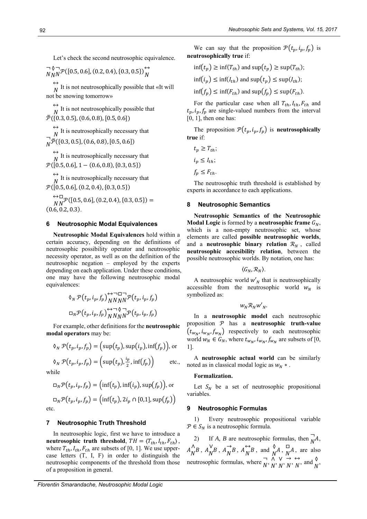Let's check the second neutrosophic equivalence.

¬  $\boldsymbol{N}$ ◊  $\boldsymbol{N}$ ¬  $N^{\mathcal{P}}([0.5, 0.6], (0.2, 0.4), \{0.3, 0.5\})$  $\boldsymbol{N}$ 

 $\leftrightarrow$ It is not neutrosophically possible that «It will  $N$ not be snowing tomorrow»

 $\leftrightarrow$ It is not neutrosophically possible that  $\overline{\mathcal{P}}({0.3, 0.5}, {0.6, 0.8}, [0.5, 0.6])$ 

 $\leftrightarrow$  $\overrightarrow{N}$  It is neutrosophically necessary that ¬  $\overline{N}$  $\overline{P}$ ({0.3, 0.5}, (0.6, 0.8), [0.5, 0.6])

 $\leftrightarrow$  $\overrightarrow{N}$  It is neutrosophically necessary that  $\mathcal{P}([0.5, 0.6], 1 - (0.6, 0.8), \{0.3, 0.5\})$ 

 $\leftrightarrow$  $\overrightarrow{N}$  It is neutrosophically necessary that  $\mathcal{P}([0.5, 0.6], (0.2, 0.4), (0.3, 0.5))$ 

 $\leftrightarrow$  $\boldsymbol{N}$ □  $\mathcal{P}\left([0.5, 0.6], (0.2, 0.4), \{0.3, 0.5\}\right) =$  $(0.6, 0.2, 0.3)$ .

#### **6 Neutrosophic Modal Equivalences**

**Neutrosophic Modal Equivalences** hold within a certain accuracy, depending on the definitions of neutrosophic possibility operator and neutrosophic necessity operator, as well as on the definition of the neutrosophic negation – employed by the experts depending on each application. Under these conditions, one may have the following neutrosophic modal equivalences:

$$
\delta_N \mathcal{P}(t_p, i_p, f_p) \bigwedge_{NNNN}^{N} \mathcal{P}(t_p, i_p, f_p)
$$
  

$$
\Box_N \mathcal{P}(t_p, i_p, f_p) \bigwedge_{NNNN}^{N} \mathcal{P}(t_p, i_p, f_p)
$$

For example, other definitions for the **neutrosophic modal operators** may be:

$$
\delta_N \mathcal{P}(t_p, i_p, f_p) = \Big(\sup(t_p), \sup(i_p), \inf(f_p)\Big), \text{ or }
$$

$$
\delta_N \mathcal{P}(t_p, i_p, f_p) = \left(\sup(t_p), \frac{i_p}{2}, \inf(f_p)\right) \quad \text{etc.,}
$$

 $\overline{M}$ 

$$
\Box_N \mathcal{P}(t_p, i_p, f_p) = \Big(\inf(t_p), \inf(i_p), \sup(f_p)\Big), \text{ or }
$$

 $\Box_N \mathcal{P}(t_p, i_p, f_p) = \bigl( \inf(t_p), 2i_p \cap [0,1], \sup(t_p) \bigr)$ etc.

#### **7 Neutrosophic Truth Threshold**

In neutrosophic logic, first we have to introduce a **neutrosophic truth threshold**,  $TH = \langle T_{th}, I_{th}, F_{th} \rangle$ , where  $T_{th}$ ,  $I_{th}$ ,  $F_{th}$  are subsets of [0, 1]. We use uppercase letters (T, I, F) in order to distinguish the neutrosophic components of the threshold from those of a proposition in general.

We can say that the proposition  $\mathcal{P}(t_p, i_p, f_p)$  is **neutrosophically true** if:

$$
\inf(t_p) \ge \inf(T_{th}) \text{ and } \sup(t_p) \ge \sup(T_{th});
$$
  

$$
\inf(i_p) \le \inf(I_{th}) \text{ and } \sup(t_p) \le \sup(I_{th});
$$
  

$$
\inf(f_p) \le \inf(F_{th}) \text{ and } \sup(f_p) \le \sup(F_{th}).
$$

For the particular case when all  $T_{th}$ ,  $I_{th}$ ,  $F_{th}$  and  $t_p, i_p, f_p$  are single-valued numbers from the interval  $[0, 1]$ , then one has:

The proposition  $\mathcal{P}(t_p, i_p, f_p)$  is **neutrosophically true** if:

$$
t_p \geq T_{th};
$$
  

$$
i_p \leq I_{th};
$$
  

$$
f_p \leq F_{th}.
$$

The neutrosophic truth threshold is established by experts in accordance to each applications.

## **8 Neutrosophic Semantics**

**Neutrosophic Semantics of the Neutrosophic Modal Logic** is formed by a **neutrosophic frame**  $G_N$ , which is a non-empty neutrosophic set, whose elements are called **possible neutrosophic worlds**, and a **neutrosophic binary relation**  $\mathcal{R}_N$ , called **neutrosophic accesibility relation**, between the possible neutrosophic worlds. By notation, one has:

$$
\langle G_N, \mathcal{R}_N \rangle.
$$

A neutrosophic world  $w'_{N}$  that is neutrosophically accessible from the neutrosophic world  $w_N$  is symbolized as:

$$
w_N \mathcal{R}_N w'_N.
$$

In a **neutrosophic model** each neutrosophic proposition  $P$  has a **neutrosophic truth-value**  $(t_{w_N}, i_{w_N}, f_{w_N})$  respectively to each neutrosophic world  $w_N \in G_N$ , where  $t_{w_N}, t_{w_N}, f_{w_N}$  are subsets of [0, 1].

A **neutrosophic actual world** can be similarly noted as in classical modal logic as  $w_N$  \*.

#### **Formalization.**

Let  $S_N$  be a set of neutrosophic propositional variables.

## **9 Neutrosophic Formulas**

1) Every neutrosophic propositional variable  $P \in S_N$  is a neutrosophic formula.

2) If *A*, *B* are neutrosophic formulas, then  $\overrightarrow{M}$  $N^{A}$  $A_{\nu}^{\Lambda}$  $\bigwedge^{\Lambda} B$ ,  $A^{\vee}_{N}$  $\bigwedge^V B$ ,  $A$ <sub>N</sub>  $\overrightarrow{N}B$ ,  $A_N^{\leftrightarrow}$  $\overleftrightarrow{N}$ B, and  $\overrightarrow{N}$ A,  $\overrightarrow{N}$  $\overrightarrow{N}$ <sup>A</sup>, are also meutrosophic formulas, where  $\overline{N}$  $\overline{N}$ ,  $\overline{N}$  $\overline{N}$ ,  $\overline{N}$  $\begin{array}{c} \vee \rightarrow \\ N \cdot N \end{array}$  $\rightarrow$   $\leftrightarrow$ <br> $N$ ' N  $\overleftrightarrow{N}$ , and  $\overrightarrow{N}$ ,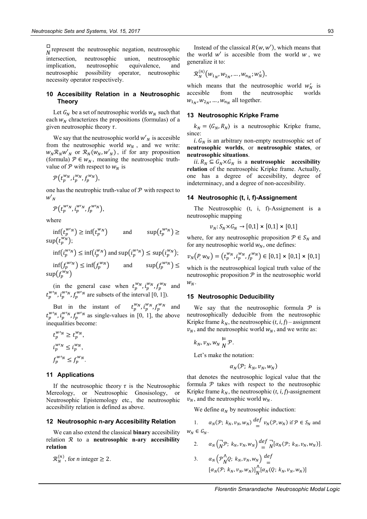□  $\overline{N}$  represent the neutrosophic negation, neutrosophic intersection, neutrosophic union, neutrosophic implication, neutrosophic equivalence, and neutrosophic possibility operator, neutrosophic necessity operator respectively.

#### **10 Accesibility Relation in a Neutrosophic Theory**

Let  $G_N$  be a set of neutrosophic worlds  $w_N$  such that each  $w_N$  chracterizes the propositions (formulas) of a given neutrosophic theory  $\tau$ .

We say that the neutrosophic world  $w'_{N}$  is accesible from the neutrosophic world  $w_N$ , and we write:  $w_N \mathcal{R}_N w'_N$  or  $\mathcal{R}_N(w_N, w'_N)$ , if for any proposition (formula)  $\mathcal{P} \in W_N$ , meaning the neutrosophic truthvalue of  $P$  with respect to  $w_N$  is

$$
\mathcal{P}(t_p^{w_N}, i_p^{w_N}, f_p^{w_N}),
$$

one has the neutrophic truth-value of  $P$  with respect to  $w'_N$ 

$$
\mathcal{P}\big(t_p^{w\prime_N},\dot{t}_p^{w\prime_N},f_p^{w\prime_N}\big),
$$

where

 $\inf(t_p^{w\nu}) \geq \inf(t_p^w)$  $\binom{w_N}{p}$  and  $\sup(t_p^{w/n}) \geq$  $\sup(t_p^{w_N});$ 

$$
\inf(i_p^{w \prime_N}) \le \inf(i_p^{w \prime_N}) \text{ and } \sup(i_p^{w \prime_N}) \le \sup(i_p^{w \prime_N});
$$

 $\inf(f_p^{w\nu}) \leq \inf(f_p^{\nu})$  $\binom{w_N}{p}$  and  $\sup(f_p^{w_N}) \leq$  $\sup\!\left(\smash{f^{w_N}_p}\right)$ 

(in the general case when  $t_p^{w_N}, i_p^{w_N}, f_p^{w_N}$  and  $t_p^{w'}$ ,  $i_p^{w'}$ ,  $f_p^{w'}$  are subsets of the interval [0, 1]).

But in the instant of  $t_p^{w_N}, i_p^{w_N}, f_p^{w_N}$  and  $t_p^{w/n}$ ,  $i_p^{w/n}$ ,  $f_p^{w/n}$  as single-values in [0, 1], the above inequalities become:

$$
t_p^{w\nu_N} \ge t_p^{w\nu},
$$
  
\n
$$
i_p^{w\nu_N} \le i_p^{w\nu},
$$
  
\n
$$
f_p^{w\nu_N} \le f_p^{w\nu}.
$$

#### **11 Applications**

If the neutrosophic theory  $\tau$  is the Neutrosophic Mereology, or Neutrosophic Gnosisology, or Neutrosophic Epistemology etc., the neutrosophic accesibility relation is defined as above.

#### **12 Neutrosophic n-ary Accesibility Relation**

We can also extend the classical **binary** accesibility relation ℛ to a **neutrosophic n-ary accesibility relation**

 $\mathcal{R}_N^{(n)}$ , for *n* integer  $\geq 2$ .

Instead of the classical  $R(w, w')$ , which means that the world  $w'$  is accesible from the world  $w$ , we generalize it to:

$$
\mathcal{R}_N^{(n)}\big(w_{1_N},w_{2_N},\ldots,w_{n_N};w'_N\big),
$$

which means that the neutrosophic world  $w'_N$  is accesible from the neutrosophic worlds  $w_{1_N}, w_{2_N}, \dots, w_{n_N}$  all together.

#### **13 Neutrosophic Kripke Frame**

 $k_N = \langle G_N, R_N \rangle$  is a neutrosophic Kripke frame, since:

 $i. G_N$  is an arbitrary non-empty neutrosophic set of **neutrosophic worlds**, or **neutrosophic states**, or **neutrosophic situations**.

ii.  $R_N \subseteq G_N \times G_N$  is a **neutrosophic** accesibility **relation** of the neutrosophic Kripke frame. Actually, one has a degree of accesibility, degree of indeterminacy, and a degree of non-accesibility.

#### **14 Neutrosophic (t, i, f)-Assignement**

The Neutrosophic (t, i, f)-Assignement is a neutrosophic mapping

$$
v_N: S_N \times G_N \to [0,1] \times [0,1] \times [0,1]
$$

where, for any neutrosophic proposition  $P \in S_N$  and for any neutrosophic world  $w_N$ , one defines:

$$
v_N(P, w_N) = (t_p^{w_N}, t_p^{w_N}, f_p^{w_N}) \in [0,1] \times [0,1] \times [0,1]
$$

which is the neutrosophical logical truth value of the neutrosophic proposition  $P$  in the neutrosophic world  $W_N$ .

#### **15 Neutrosophic Deducibility**

We say that the neutrosophic formula  $\mathcal P$  is neutrosophically deducible from the neutrosophic Kripke frame  $k_N$ , the neutrosophic  $(t, i, f)$  – assignment  $v_N$ , and the neutrosophic world  $w_N$ , and we write as:

$$
k_N, v_N, w_N \underset{N}{\vDash} \mathcal{P}.
$$

Let's make the notation:

$$
\alpha_N(\mathcal{P};\; k_N,v_N,w_N)
$$

that denotes the neutrosophic logical value that the formula  $P$  takes with respect to the neutrosophic Kripke frame  $k_N$ , the neutrosophic  $(t, i, f)$ -assignement  $v_N$ , and the neutrosphic world  $w_N$ .

We define  $\alpha_N$  by neutrosophic induction:

1. 
$$
\alpha_N(\mathcal{P}; k_N, v_N, w_N) \stackrel{\text{def}}{=} v_N(\mathcal{P}, w_N) \text{ if } \mathcal{P} \in S_N \text{ and }
$$
  
 $w_N \in G_N.$ 

2. 
$$
\alpha_N \left( \overline{N} \mathcal{P}; k_N, v_N, w_N \right) \stackrel{def}{=} \overline{N} [\alpha_N(\mathcal{P}; k_N, v_N, w_N)].
$$
  
3. 
$$
\alpha_N \left( \mathcal{P}_N^{\Lambda} Q; k_N, v_N, w_N \right) \stackrel{def}{=} [\alpha_N(\mathcal{P}; k_N, v_N, w_N)]_N^{\Lambda} [\alpha_N(Q; k_N, v_N, w_N)]
$$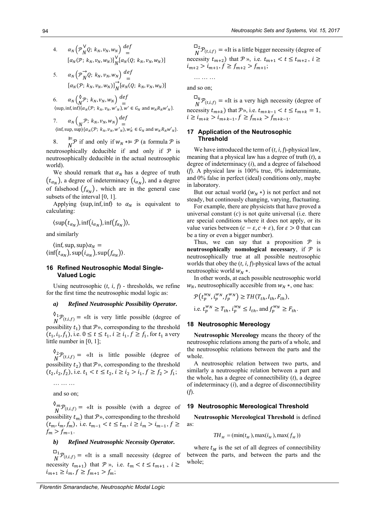- 4.  $\alpha_N \left( \mathcal{P}_N^{\vee} \right)$  $\bigvee_N^V Q; k_N, v_N, w_N \bigg) \stackrel{def}{=}$ =  $[\alpha_N(\mathcal{P}; k_N, v_N, w_N)]_{N}^{\vee}$  $\big[ \alpha_N(Q; \, k_N, v_N, w_N) \big]$
- 5.  $\alpha_N \left( \mathcal{P}_N^{\rightarrow} \right)$  $\overrightarrow{N}Q$ ;  $k_N, v_N, w_N$ )  $\overrightarrow{def}$ =  $[\alpha_N(\mathcal{P}; k_N, v_N, w_N)]_N^{\rightarrow}$  $\int_{N} [\alpha_{N}(Q; k_{N}, v_{N}, w_{N})]$

6. 
$$
\alpha_N \begin{pmatrix} \delta & p; k_N, v_N, w_N \end{pmatrix} \stackrel{\text{def}}{=} \langle \text{sup}, \text{inf} \{ \text{inf} \} \langle \text{sup}, \text{inf} \{ \text{inf} \} \langle \text{sup}, \text{inf} \{ \text{inf} \} \langle \text{sup}, v_N, v_N, w_N \rangle, w' \in G_N \text{ and } w_N R_N w_N' \}.
$$

7. 
$$
\alpha_N \left( \mathcal{P}; k_N, v_N, w_N \right) \stackrel{\text{def}}{=} \langle \text{inf}, \text{sup}, \text{sup} \rangle \{ \alpha_N(\mathcal{P}; k_N, v_N, w'_N), w'_N \in G_N \text{ and } w_N R_N w'_N \}.
$$

8.  $\stackrel{\leftarrow}{N}$  if and only if  $w_N \neq \mathcal{P}$  (a formula  $\mathcal{P}$  is neutrosophically deducible if and only if  $P$  is neutrosophically deducible in the actual neutrosophic world).

We should remark that  $\alpha_N$  has a degree of truth  $(t_{\alpha_N})$ , a degree of indeterminacy  $(i_{\alpha_N})$ , and a degree of falsehood  $(f_{\alpha_N})$ , which are in the general case subsets of the interval [0, 1].

Applying  $\langle \text{sup, inf, inf} \rangle$  to  $\alpha_N$  is equivalent to calculating:

$$
\langle \mathrm{sup}(t_{\alpha_N}), \mathrm{inf}(i_{\alpha_N}), \mathrm{inf}(f_{\alpha_N}) \rangle,
$$

and similarly

 $\langle \inf, \sup, \sup \rangle \alpha_N =$  $\langle \inf(t_{\alpha_N}), \sup(t_{\alpha_N}), \sup(f_{\alpha_N}) \rangle$ .

## **16 Refined Neutrosophic Modal Single-Valued Logic**

Using neutrosophic (*t, i, f*) - thresholds, we refine for the first time the neutrosophic modal logic as:

## *a) Refined Neutrosophic Possibility Operator.*

 $\mathbf{0}_1$  $N^{V_1}P_{(t,i,f)} = \alpha I$ t is very little possible (degree of possibility  $t_1$ ) that  $\mathcal{P}_2$ , corresponding to the threshold  $(t_1, i_1, f_1)$ , i.e.  $0 \le t \le t_1$ ,  $i \ge i_1$ ,  $f \ge f_1$ , for  $t_1$  a very little number in [0, 1];

 $\mathsf{0}_2$  $N^2 \mathcal{P}_{(t,i,f)} =$  «It is little possible (degree of possibility  $t_2$ ) that  $\mathcal{P}_2$ , corresponding to the threshold  $(t_2, i_2, f_2)$ , i.e.  $t_1 < t \le t_2$ ,  $i \ge i_2 > i_1$ ,  $f \ge f_2 > f_1$ ;

… … …

and so on;

 $\mathcal{O}_m$  $\mathcal{L}_{N}^{m} \mathcal{P}_{(t,i,f)} = \mathcal{L}_{N}$  is possible (with a degree of possibility  $t_m$ ) that  $\mathcal{P}_v$ , corresponding to the threshold  $(t_m, i_m, f_m)$ , i.e.  $t_{m-1} < t \le t_m$ ,  $i \ge i_m > i_{m-1}$ ,  $f \ge$  $f_m > f_{m-1}.$ 

## *b) Refined Neutrosophic Necessity Operator.*

 $\Box_1$  $N^{\text{H}}(t,i,f) = \alpha \text{I}$  is a small necessity (degree of necessity  $t_{m+1}$ ) that  $P \rightarrow$ , i.e.  $t_m < t \leq t_{m+1}$ ,  $i \geq$  $i_{m+1} \geq i_m, f \geq f_{m+1} > f_m;$ 

 $\square_2$  $N^{22}P_{(t,i,f)}$  = «It is a little bigger necessity (degree of necessity  $t_{m+2}$ ) that  $\mathcal{P}$ », i.e.  $t_{m+1} < t \leq t_{m+2}$ ,  $i \geq$  $i_{m+2} > i_{m+1}, f \ge f_{m+2} > f_{m+1};$ 

… … …

and so on;

 $\square_k$  $N^{\mu}$  $N^{\mu}$  $p$ <sub>(*t,i,f*) = «It is a very high necessity (degree of</sub> necessity  $t_{m+k}$ ) that  $\mathcal{P}_v$ , i.e.  $t_{m+k-1} < t \leq t_{m+k} = 1$ ,  $i \geq i_{m+k} > i_{m+k-1}, f \geq f_{m+k} > f_{m+k-1}.$ 

## **17 Application of the Neutrosophic Threshold**

We have introduced the term of (*t, i, f*)-physical law, meaning that a physical law has a degree of truth (*t*), a degree of indeterminacy (*i*), and a degree of falsehood (*f*). A physical law is 100% true, 0% indeterminate, and 0% false in perfect (ideal) conditions only, maybe in laboratory.

But our actual world  $(w_N^*)$  is not perfect and not steady, but continously changing, varying, fluctuating.

For example, there are physicists that have proved a universal constant (*c*) is not quite universal (i.e. there are special conditions where it does not apply, or its value varies between  $(c - \varepsilon, c + \varepsilon)$ , for  $\varepsilon > 0$  that can be a tiny or even a bigger number).

Thus, we can say that a proposition  $P$  is **neutrosophically nomological necessary,** if  $P$  is neutrosophically true at all possible neutrosophic worlds that obey the (*t, i, f*)-physical laws of the actual neutrosophic world  $w_N$  \*.

In other words, at each possible neutrosophic world  $w_N$ , neutrosophically accesible from  $w_N$  \*, one has:

$$
\mathcal{P}(t_p^{w_N}, i_p^{w_N}, f_p^{w_N}) \ge TH(T_{th}, I_{th}, F_{th}),
$$
  
i.e.  $t_p^{w_N} \ge T_{th}, i_p^{w_N} \le I_{th}, \text{ and } f_p^{w_N} \ge F_{th}.$ 

## **18 Neutrosophic Mereology**

**Neutrosophic Mereology** means the theory of the neutrosophic relations among the parts of a whole, and the neutrosophic relations between the parts and the whole.

A neutrosophic relation between two parts, and similarly a neutrosophic relation between a part and the whole, has a degree of connectibility (*t*), a degree of indeterminacy (*i*), and a degree of disconnectibility (*f*).

## **19 Neutrosophic Mereological Threshold**

**Neutrosophic Mereological Threshold** is defined as:

$$
TH_M = (\min(t_M), \max(t_M), \max(f_M))
$$

where  $t_M$  is the set of all degrees of connectibility between the parts, and between the parts and the whole;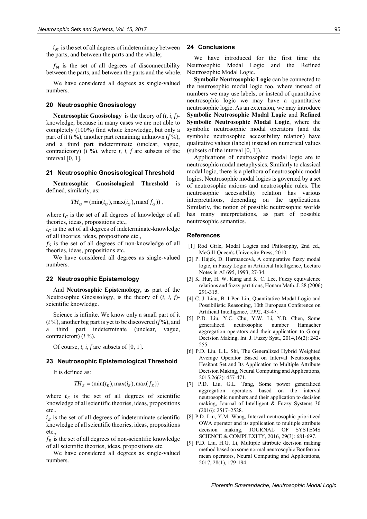$i_M$  is the set of all degrees of indeterminacy between the parts, and between the parts and the whole;

 $f<sub>M</sub>$  is the set of all degrees of disconnectibility between the parts, and between the parts and the whole.

We have considered all degrees as single-valued numbers.

## **20 Neutrosophic Gnosisology**

**Neutrosophic Gnosisology** is the theory of (*t, i, f*) knowledge, because in many cases we are not able to completely (100%) find whole knowledge, but only a part of it (*t* %), another part remaining unknown (*f* %), and a third part indeterminate (unclear, vague, contradictory) (*i* %), where *t, i, f* are subsets of the interval [0, 1].

## **21 Neutrosophic Gnosisological Threshold**

**Neutrosophic Gnosisological Threshold** is defined, similarly, as:

 $TH_G = (\min(t_G), \max(t_G), \max(f_G))$ ,

where  $t_G$  is the set of all degrees of knowledge of all theories, ideas, propositions etc.,

 $i<sub>c</sub>$  is the set of all degrees of indeterminate-knowledge of all theories, ideas, propositions etc.,

 $f_c$  is the set of all degrees of non-knowledge of all theories, ideas, propositions etc.

We have considered all degrees as single-valued numbers.

## **22 Neutrosophic Epistemology**

And **Neutrosophic Epistemology**, as part of the Neutrosophic Gnosisology, is the theory of (*t, i, f*) scientific knowledge.

Science is infinite. We know only a small part of it (*t* %), another big part is yet to be discovered (*f* %), and a third part indeterminate (unclear, vague, contradictort) (*i* %).

Of course, *t, i, f* are subsets of [0, 1].

#### **23 Neutrosophic Epistemological Threshold**

It is defined as:

$$
TH_E = (\min(t_E), \max(t_E), \max(f_E))
$$

where  $t_F$  is the set of all degrees of scientific knowledge of all scientific theories, ideas, propositions etc.

 $i_F$  is the set of all degrees of indeterminate scientific knowledge of all scientific theories, ideas, propositions etc.,

 $f_E$  is the set of all degrees of non-scientific knowledge of all scientific theories, ideas, propositions etc.

We have considered all degrees as single-valued numbers.

## **24 Conclusions**

We have introduced for the first time the Neutrosophic Modal Logic and the Refined Neutrosophic Modal Logic.

**Symbolic Neutrosophic Logic** can be connected to the neutrosophic modal logic too, where instead of numbers we may use labels, or instead of quantitative neutrosophic logic we may have a quantitative neutrosophic logic. As an extension, we may introduce **Symbolic Neutrosophic Modal Logic** and **Refined Symbolic Neutrosophic Modal Logic**, where the symbolic neutrosophic modal operators (and the symbolic neutrosophic accessibility relation) have qualitative values (labels) instead on numerical values (subsets of the interval [0, 1]).

Applications of neutrosophic modal logic are to neutrosophic modal metaphysics. Similarly to classical modal logic, there is a plethora of neutrosophic modal logics. Neutrosophic modal logics is governed by a set of neutrosophic axioms and neutrosophic rules. The neutrosophic accessibility relation has various interpretations, depending on the applications. Similarly, the notion of possible neutrosophic worlds has many interpretations, as part of possible neutrosophic semantics.

#### **References**

- [1] Rod Girle, Modal Logics and Philosophy, 2nd ed., McGill-Queen's University Press, 2010.
- [2] P. Hájek, D. Harmancová, A comparative fuzzy modal logic, in Fuzzy Logic in Artificial Intelligence, Lecture Notes in AI 695, 1993, 27-34.
- [3] K. Hur, H. W. Kang and K. C. Lee, Fuzzy equivalence relations and fuzzy partitions, Honam Math. J. 28 (2006) 291-315.
- [4] C. J. Liau, B. I-Pen Lin, Quantitative Modal Logic and Possibilistic Reasoning, 10th European Conference on Artificial Intelligence, 1992, 43-47.
- [5] P.D. Liu, Y.C. Chu, Y.W. Li, Y.B. Chen, Some generalized neutrosophic number Hamacher aggregation operators and their application to Group Decision Making, Int. J. Fuzzy Syst., 2014,16(2): 242- 255.
- [6] P.D. Liu, L.L. Shi, The Generalized Hybrid Weighted Average Operator Based on Interval Neutrosophic Hesitant Set and Its Application to Multiple Attribute Decision Making, Neural Computing and Applications, 2015,26(2): 457-471.
- [7] P.D. Liu, G.L. Tang, Some power generalized aggregation operators based on the interval neutrosophic numbers and their application to decision making, Journal of Intelligent & Fuzzy Systems 30 (2016): 2517–2528.
- [8] P.D. Liu, Y.M. Wang, Interval neutrosophic prioritized OWA operator and its application to multiple attribute decision making, JOURNAL OF SYSTEMS SCIENCE & COMPLEXITY, 2016, 29(3): 681-697.
- [9] P.D. Liu, H.G. Li, Multiple attribute decision making method based on some normal neutrosophic Bonferroni mean operators, Neural Computing and Applications, 2017, 28(1), 179-194.